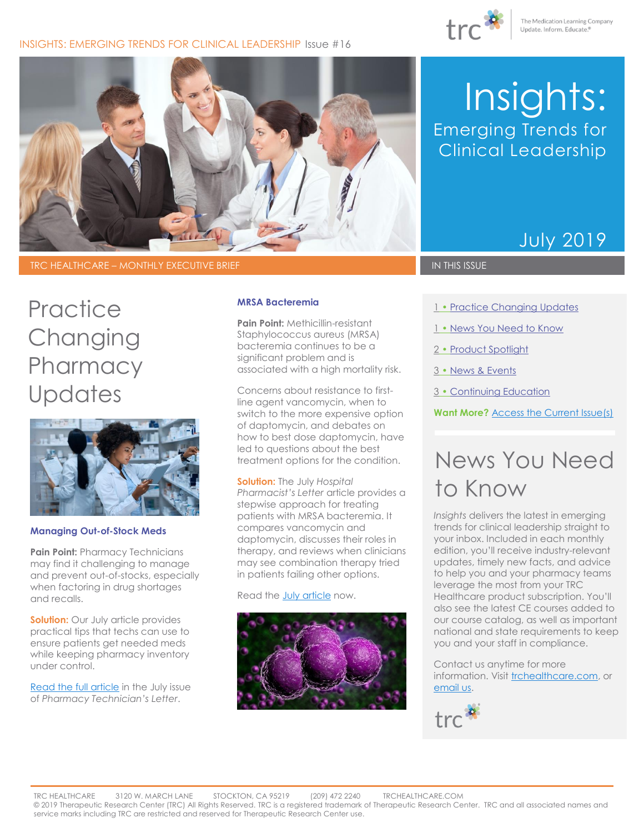

### INSIGHTS: EMERGING TRENDS FOR CLINICAL LEADERSHIP Issue #16



### TRC HEALTHCARE – MONTHLY EXECUTIVE BRIEF IN THIS ISSUE IN THIS ISSUE

# **Practice Changing Pharmacy Updates**



#### **Managing Out-of-Stock Meds**

**Pain Point: Pharmacy Technicians** may find it challenging to manage and prevent out-of-stocks, especially when factoring in drug shortages and recalls.

**Solution:** Our July article provides practical tips that techs can use to ensure patients get needed meds while keeping pharmacy inventory under control.

[Read the full article](https://pharmacytech.therapeuticresearch.com/Content/Articles/PTL/2019/Jul/Keep-Your-Inventory-Under-Control-to-Prevent-Out-of-Stocks) in the July issue of *Pharmacy Technician's Letter*.

#### **MRSA Bacteremia**

**Pain Point:** Methicillin-resistant Staphylococcus aureus (MRSA) bacteremia continues to be a significant problem and is associated with a high mortality risk.

Concerns about resistance to firstline agent vancomycin, when to switch to the more expensive option of daptomycin, and debates on how to best dose daptomycin, have led to questions about the best treatment options for the condition.

**Solution:** The July *Hospital Pharmacist's Letter* article provides a stepwise approach for treating patients with MRSA bacteremia. It compares vancomycin and daptomycin, discusses their roles in therapy, and reviews when clinicians may see combination therapy tried in patients failing other options.

Read the **July article** now.



# Insights: Emerging Trends for Clinical Leadership

# July 2019

- 1 Practice Changing Updates
- 1 [News You Need to Know](#page-0-0)
- 2 [Product Spotlight](#page-1-0)
- 3 [News & Events](#page-2-0)
- 3 [Continuing Education](#page-2-1)

**Want More?** [Access the Current Issue\(s\)](http://trchealthcare.com/login)

# <span id="page-0-0"></span>News You Need to Know

*Insights* delivers the latest in emerging trends for clinical leadership straight to your inbox. Included in each monthly edition, you'll receive industry-relevant updates, timely new facts, and advice to help you and your pharmacy teams leverage the most from your TRC Healthcare product subscription. You'll also see the latest CE courses added to our course catalog, as well as important national and state requirements to keep you and your staff in compliance.

Contact us anytime for more information. Visit [trchealthcare.com,](http://trchealthcare.com/) or [email](mailto:marketing@trchealthcare.com?subject=Insights%20Newsletter%20Inquiry%20June%202019) us.

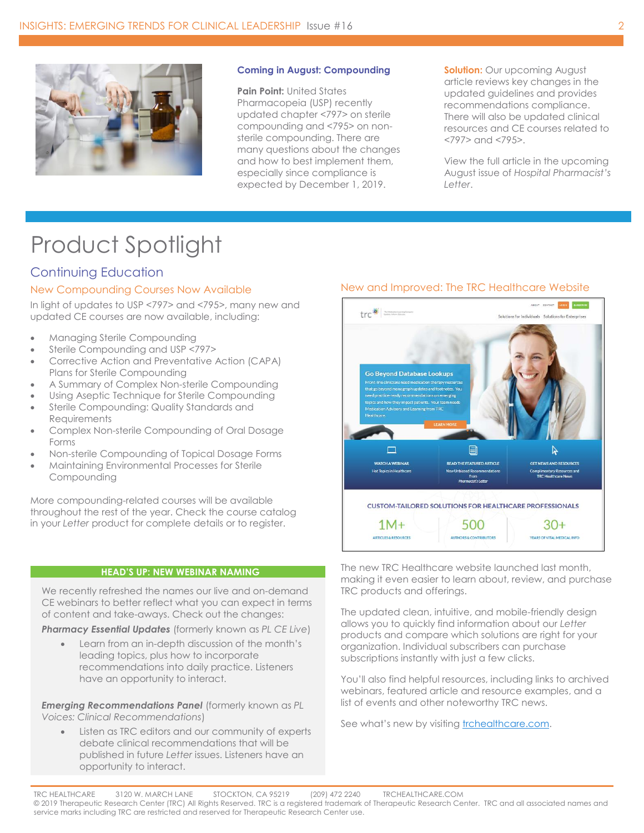

#### **Coming in August: Compounding**

**Pain Point:** United States Pharmacopeia (USP) recently updated chapter <797> on sterile compounding and <795> on nonsterile compounding. There are many questions about the changes and how to best implement them, especially since compliance is expected by December 1, 2019.

**Solution:** Our upcoming August article reviews key changes in the updated guidelines and provides recommendations compliance. There will also be updated clinical resources and CE courses related to <797> and <795>.

View the full article in the upcoming August issue of *Hospital Pharmacist's Letter*.

# <span id="page-1-0"></span>Product Spotlight

# Continuing Education

### New Compounding Courses Now Available

In light of updates to USP <797> and <795>, many new and updated CE courses are now available, including:

- Managing Sterile Compounding
- Sterile Compounding and USP <797>
- Corrective Action and Preventative Action (CAPA) Plans for Sterile Compounding
- A Summary of Complex Non-sterile Compounding
- Using Aseptic Technique for Sterile Compounding
- Sterile Compounding: Quality Standards and **Requirements**
- Complex Non-sterile Compounding of Oral Dosage Forms
- Non-sterile Compounding of Topical Dosage Forms
- Maintaining Environmental Processes for Sterile Compounding

More compounding-related courses will be available throughout the rest of the year. Check the course catalog in your *Letter* product for complete details or to register.

#### **HEAD'S UP: NEW WEBINAR NAMING**

We recently refreshed the names our live and on-demand CE webinars to better reflect what you can expect in terms of content and take-aways. Check out the changes:

*Pharmacy Essential Updates* (formerly known as *PL CE Live*)

• Learn from an in-depth discussion of the month's leading topics, plus how to incorporate recommendations into daily practice. Listeners have an opportunity to interact.

*Emerging Recommendations Panel* (formerly known as *PL Voices: Clinical Recommendations*)

• Listen as TRC editors and our community of experts debate clinical recommendations that will be published in future *Letter* issues. Listeners have an opportunity to interact.

### New and Improved: The TRC Healthcare Website



The new TRC Healthcare website launched last month, making it even easier to learn about, review, and purchase TRC products and offerings.

The updated clean, intuitive, and mobile-friendly design allows you to quickly find information about our *Letter* products and compare which solutions are right for your organization. Individual subscribers can purchase subscriptions instantly with just a few clicks.

You'll also find helpful resources, including links to archived webinars, featured article and resource examples, and a list of events and other noteworthy TRC news.

See what's new by visiting trchealthcare.com.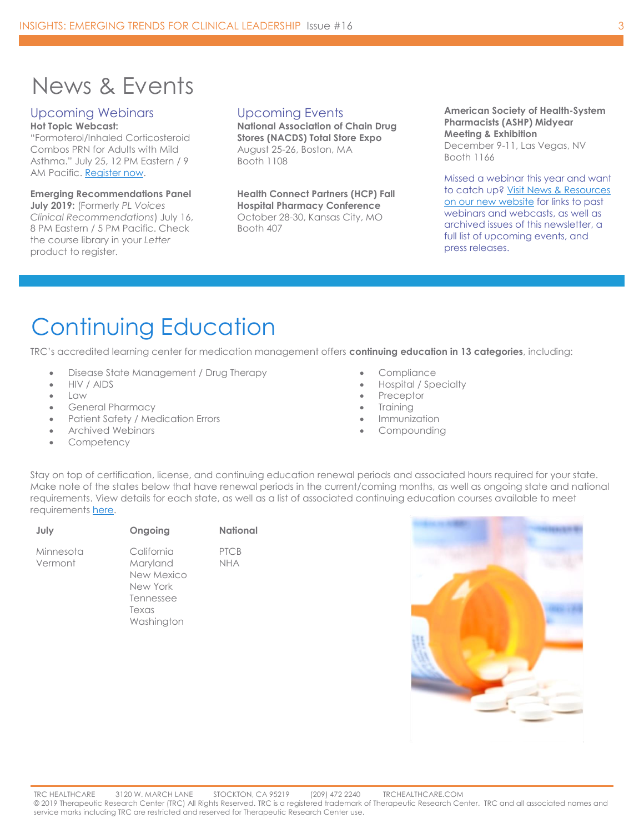# <span id="page-2-0"></span>News & Events

## Upcoming Webinars

**Hot Topic Webcast:** "Formoterol/Inhaled Corticosteroid Combos PRN for Adults with Mild Asthma." July 25, 12 PM Eastern / 9 AM Pacific. [Register now.](https://goto.webcasts.com/starthere.jsp?ei=1252574&tp_key=b2cb371c43) 

### **Emerging Recommendations Panel**

**July 2019:** (Formerly *PL Voices Clinical Recommendations*) July 16, 8 PM Eastern / 5 PM Pacific. Check the course library in your *Letter*  product to register.

### Upcoming Events

**National Association of Chain Drug Stores (NACDS) Total Store Expo** August 25-26, Boston, MA Booth 1108

**Health Connect Partners (HCP) Fall Hospital Pharmacy Conference** October 28-30, Kansas City, MO Booth 407

**American Society of Health-System Pharmacists (ASHP) Midyear Meeting & Exhibition** December 9-11, Las Vegas, NV Booth 1166

Missed a webinar this year and want to catch up? Visit [News & Resources](https://trchealthcare.com/about-us/news-and-resources/webinars/)  on [our new website](https://trchealthcare.com/about-us/news-and-resources/webinars/) for links to past webinars and webcasts, as well as archived issues of this newsletter, a full list of upcoming events, and press releases.

# <span id="page-2-1"></span>[Continuing Education](#page-2-1)

TRC's accredited learning center for medication management offers **continuing education in 13 categories**, including:

- Disease State Management / Drug Therapy
- HIV / AIDS
- Law
- General Pharmacy
- Patient Safety / Medication Errors
- Archived Webinars
- **Competency**

Stay on top of certification, license, and continuing education renewal periods and associated hours required for your state. Make note of the states below that have renewal periods in the current/coming months, as well as ongoing state and national requirements. View details for each state, as well as a list of associated continuing education courses available to meet requirements [here.](https://cdn2.hubspot.net/hubfs/229441/Email-Images/Insights%20Enterprise%20Newsletter%20Assets/TRCHealthcare_State_National_CE_June2019-Aug2019.pdf)

| July                 | Ongoing                                                                              | <b>National</b>           |
|----------------------|--------------------------------------------------------------------------------------|---------------------------|
| Minnesota<br>Vermont | California<br>Maryland<br>New Mexico<br>New York<br>Tennessee<br>Texas<br>Washington | <b>PTCB</b><br><b>NHA</b> |
|                      |                                                                                      |                           |

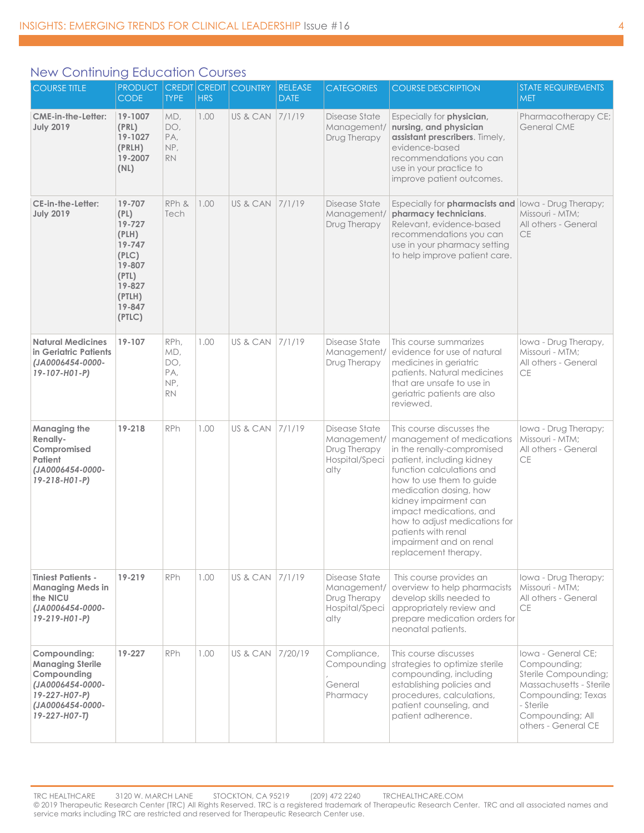### New Continuing Education Courses

| <b>COURSE TITLE</b>                                                                                                              | <b>PRODUCT</b><br><b>CODE</b>                                                                                   | <b>TYPE</b>                                   | <b>HRS</b> | <b>CREDIT CREDIT COUNTRY</b> | <b>RELEASE</b><br><b>DATE</b> | <b>CATEGORIES</b>                                                      | <b>COURSE DESCRIPTION</b>                                                                                                                                                                                                                                                                                                                                           | <b>STATE REQUIREMENTS</b><br><b>MET</b>                                                                                                                             |
|----------------------------------------------------------------------------------------------------------------------------------|-----------------------------------------------------------------------------------------------------------------|-----------------------------------------------|------------|------------------------------|-------------------------------|------------------------------------------------------------------------|---------------------------------------------------------------------------------------------------------------------------------------------------------------------------------------------------------------------------------------------------------------------------------------------------------------------------------------------------------------------|---------------------------------------------------------------------------------------------------------------------------------------------------------------------|
| <b>CME-in-the-Letter:</b><br><b>July 2019</b>                                                                                    | 19-1007<br>(PRL)<br>19-1027<br>(PRLH)<br>19-2007<br>(NL)                                                        | MD,<br>DO,<br>PA,<br>NP,<br><b>RN</b>         | 1.00       | US & CAN 7/1/19              |                               | Disease State<br>Management/<br>Drug Therapy                           | Especially for <b>physician</b> ,<br>nursing, and physician<br>assistant prescribers. Timely,<br>evidence-based<br>recommendations you can<br>use in your practice to<br>improve patient outcomes.                                                                                                                                                                  | Pharmacotherapy CE;<br><b>General CME</b>                                                                                                                           |
| CE-in-the-Letter:<br><b>July 2019</b>                                                                                            | 19-707<br>(PL)<br>19-727<br>(PLH)<br>19-747<br>(PLC)<br>19-807<br>(PTL)<br>19-827<br>(PTLH)<br>19-847<br>(PTLC) | RPh &<br>Tech                                 | 1.00       | US & CAN                     | 7/1/19                        | Disease State<br>Management/<br>Drug Therapy                           | Especially for pharmacists and<br>pharmacy technicians.<br>Relevant, evidence-based<br>recommendations you can<br>use in your pharmacy setting<br>to help improve patient care.                                                                                                                                                                                     | Iowa - Drug Therapy;<br>Missouri - MTM;<br>All others - General<br><b>CE</b>                                                                                        |
| <b>Natural Medicines</b><br>in Geriatric Patients<br>(JA0006454-0000-<br>19-107-H01-P)                                           | 19-107                                                                                                          | RPh,<br>MD,<br>DO,<br>PA,<br>NP,<br><b>RN</b> | 1.00       | US & CAN                     | 7/1/19                        | Disease State<br>Management/<br>Drug Therapy                           | This course summarizes<br>evidence for use of natural<br>medicines in geriatric<br>patients. Natural medicines<br>that are unsafe to use in<br>geriatric patients are also<br>reviewed.                                                                                                                                                                             | lowa - Drug Therapy,<br>Missouri - MTM;<br>All others - General<br><b>CE</b>                                                                                        |
| Managing the<br>Renally-<br>Compromised<br>Patient<br>(JA0006454-0000-<br>19-218-H01-P)                                          | 19-218                                                                                                          | RPh                                           | 1.00       | US & CAN                     | 7/1/19                        | Disease State<br>Management/<br>Drug Therapy<br>Hospital/Speci<br>alty | This course discusses the<br>management of medications<br>in the renally-compromised<br>patient, including kidney<br>function calculations and<br>how to use them to guide<br>medication dosing, how<br>kidney impairment can<br>impact medications, and<br>how to adjust medications for<br>patients with renal<br>impairment and on renal<br>replacement therapy. | Iowa - Drug Therapy;<br>Missouri - MTM;<br>All others - General<br>СE                                                                                               |
| <b>Tiniest Patients -</b><br><b>Managing Meds in</b><br>the NICU<br>(JA0006454-0000-<br>19-219-H01-P)                            | 19-219                                                                                                          | <b>RPh</b>                                    | 1.00       | US & CAN                     | 7/1/19                        | Disease State<br>Management/<br>Drug Therapy<br>Hospital/Speci<br>alty | This course provides an<br>overview to help pharmacists<br>develop skills needed to<br>appropriately review and<br>prepare medication orders for<br>neonatal patients.                                                                                                                                                                                              | lowa - Drug Therapy;<br>Missouri - MTM;<br>All others - General<br><b>CE</b>                                                                                        |
| Compounding:<br><b>Managing Sterile</b><br>Compounding<br>(JA0006454-0000-<br>19-227-H07-P)<br>(JA0006454-0000-<br>19-227-H07-T) | 19-227                                                                                                          | <b>RPh</b>                                    | 1.00       | US & CAN                     | 7/20/19                       | Compliance,<br>Compounding<br>General<br>Pharmacy                      | This course discusses<br>strategies to optimize sterile<br>compounding, including<br>establishing policies and<br>procedures, calculations,<br>patient counseling, and<br>patient adherence.                                                                                                                                                                        | Iowa - General CE:<br>Compounding;<br>Sterile Compounding;<br>Massachusetts - Sterile<br>Compounding; Texas<br>- Sterile<br>Compounding; All<br>others - General CE |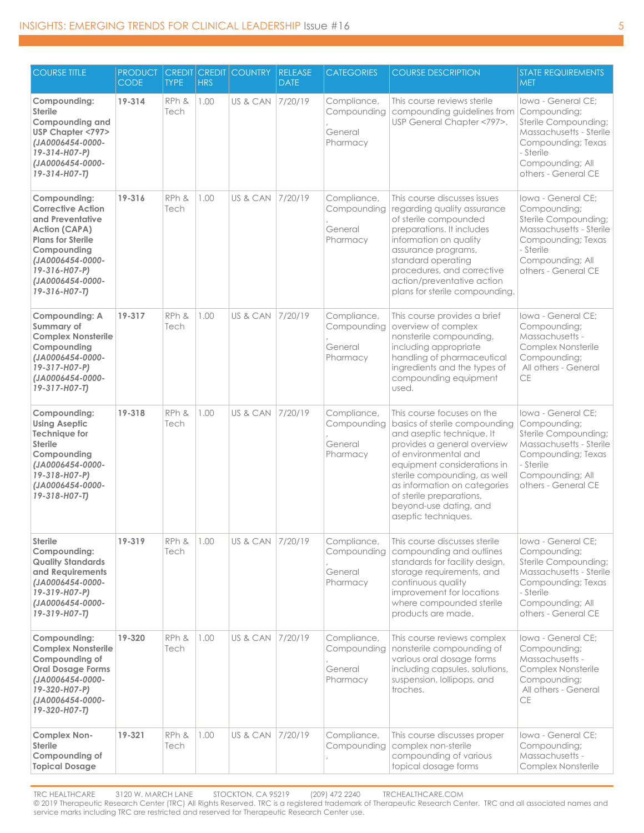| <b>COURSE TITLE</b>                                                                                                                                                                                       | <b>PRODUCT</b><br><b>CODE</b> | <b>CREDIT</b><br><b>TYPE</b> | <b>CREDIT</b><br><b>HRS</b> | <b>COUNTRY</b>     | <b>RELEASE</b><br><b>DATE</b> | <b>CATEGORIES</b>                                 | <b>COURSE DESCRIPTION</b>                                                                                                                                                                                                                                                                                                   | <b>STATE REQUIREMENTS</b><br><b>MET</b>                                                                                                                             |
|-----------------------------------------------------------------------------------------------------------------------------------------------------------------------------------------------------------|-------------------------------|------------------------------|-----------------------------|--------------------|-------------------------------|---------------------------------------------------|-----------------------------------------------------------------------------------------------------------------------------------------------------------------------------------------------------------------------------------------------------------------------------------------------------------------------------|---------------------------------------------------------------------------------------------------------------------------------------------------------------------|
| Compounding:<br><b>Sterile</b><br><b>Compounding and</b><br>USP Chapter <797><br>(JA0006454-0000-<br>19-314-H07-P)<br>(JA0006454-0000-<br>$19 - 314 - H07 - T$                                            | 19-314                        | RPh &<br>Tech                | 1.00                        | US & CAN           | 7/20/19                       | Compliance,<br>Compounding<br>General<br>Pharmacy | This course reviews sterile<br>compounding guidelines from<br>USP General Chapter <797>.                                                                                                                                                                                                                                    | lowa - General CE:<br>Compounding;<br>Sterile Compounding;<br>Massachusetts - Sterile<br>Compounding; Texas<br>- Sterile<br>Compounding; All<br>others - General CE |
| Compounding:<br><b>Corrective Action</b><br>and Preventative<br><b>Action (CAPA)</b><br><b>Plans for Sterile</b><br>Compounding<br>(JA0006454-0000-<br>19-316-H07-P)<br>(JA0006454-0000-<br>19-316-H07-T) | 19-316                        | RPh &<br>Tech                | 1.00                        | US & CAN           | 7/20/19                       | Compliance,<br>Compounding<br>General<br>Pharmacy | This course discusses issues<br>regarding quality assurance<br>of sterile compounded<br>preparations. It includes<br>information on quality<br>assurance programs,<br>standard operating<br>procedures, and corrective<br>action/preventative action<br>plans for sterile compounding.                                      | Iowa - General CE:<br>Compounding;<br>Sterile Compounding;<br>Massachusetts - Sterile<br>Compounding; Texas<br>- Sterile<br>Compounding; All<br>others - General CE |
| <b>Compounding: A</b><br>Summary of<br><b>Complex Nonsterile</b><br>Compounding<br>(JA0006454-0000-<br>19-317-H07-P)<br>(JA0006454-0000-<br>19-317-H07-T)                                                 | 19-317                        | RPh &<br>Tech                | 1.00                        | US & CAN           | 7/20/19                       | Compliance,<br>Compounding<br>General<br>Pharmacy | This course provides a brief<br>overview of complex<br>nonsterile compounding,<br>including appropriate<br>handling of pharmaceutical<br>ingredients and the types of<br>compounding equipment<br>used.                                                                                                                     | lowa - General CE:<br>Compounding;<br>Massachusetts -<br>Complex Nonsterile<br>Compounding;<br>All others - General<br>CE                                           |
| Compounding:<br><b>Using Aseptic</b><br><b>Technique for</b><br><b>Sterile</b><br>Compounding<br>(JA0006454-0000-<br>19-318-H07-P)<br>(JA0006454-0000-<br>19-318-H07-T)                                   | 19-318                        | RPh &<br>Tech                | 1.00                        | US & CAN           | 7/20/19                       | Compliance,<br>Compounding<br>General<br>Pharmacy | This course focuses on the<br>basics of sterile compounding<br>and aseptic technique. It<br>provides a general overview<br>of environmental and<br>equipment considerations in<br>sterile compounding, as well<br>as information on categories<br>of sterile preparations,<br>beyond-use dating, and<br>aseptic techniques. | Iowa - General CE;<br>Compounding;<br>Sterile Compounding;<br>Massachusetts - Sterile<br>Compounding; Texas<br>- Sterile<br>Compounding; All<br>others - General CE |
| Sterile<br>Compounding:<br><b>Quality Standards</b><br>and Requirements<br>(JA0006454-0000-<br>19-319-H07-P)<br>(JA0006454-0000-<br>19-319-H07-T)                                                         | 19-319                        | RPh &<br>Tech                | 1.00                        | US & CAN   7/20/19 |                               | Compliance,<br>Compounding<br>General<br>Pharmacy | This course discusses sterile<br>compounding and outlines<br>standards for facility design,<br>storage requirements, and<br>continuous quality<br>improvement for locations<br>where compounded sterile<br>products are made.                                                                                               | lowa - General CE;<br>Compounding;<br>Sterile Compounding;<br>Massachusetts - Sterile<br>Compounding; Texas<br>- Sterile<br>Compounding; All<br>others - General CE |
| Compounding:<br><b>Complex Nonsterile</b><br>Compounding of<br><b>Oral Dosage Forms</b><br>(JA0006454-0000-<br>19-320-H07-P)<br>(JA0006454-0000-<br>19-320-H07-T)                                         | 19-320                        | RPh &<br>Tech                | 1.00                        | US & CAN           | 7/20/19                       | Compliance,<br>Compounding<br>General<br>Pharmacy | This course reviews complex<br>nonsterile compounding of<br>various oral dosage forms<br>including capsules, solutions,<br>suspension, lollipops, and<br>troches.                                                                                                                                                           | Iowa - General CE;<br>Compounding;<br>Massachusetts -<br>Complex Nonsterile<br>Compounding;<br>All others - General<br><b>CE</b>                                    |
| <b>Complex Non-</b><br><b>Sterile</b><br>Compounding of<br><b>Topical Dosage</b>                                                                                                                          | 19-321                        | RPh &<br>Tech                | 1.00                        | US & CAN           | 7/20/19                       | Compliance,<br>Compounding                        | This course discusses proper<br>complex non-sterile<br>compounding of various<br>topical dosage forms                                                                                                                                                                                                                       | Iowa - General CE;<br>Compounding;<br>Massachusetts -<br>Complex Nonsterile                                                                                         |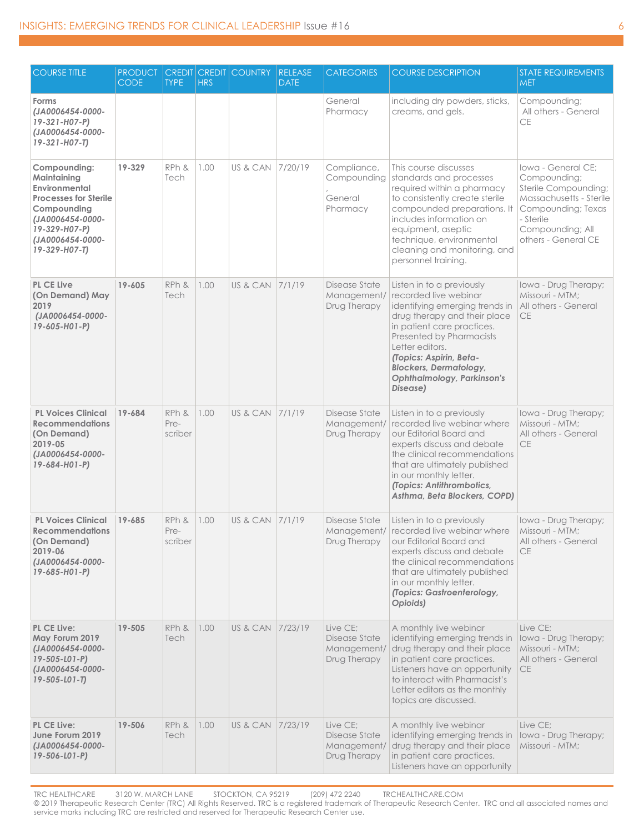| <b>COURSE TITLE</b>                                                                                                                                                   | <b>PRODUCT</b><br><b>CODE</b> | <b>TYPE</b>              | <b>HRS</b> | <b>CREDIT CREDIT COUNTRY</b> | <b>RELEASE</b><br><b>DATE</b> | <b>CATEGORIES</b>                                        | <b>COURSE DESCRIPTION</b>                                                                                                                                                                                                                                                                                      | <b>STATE REQUIREMENTS</b><br><b>MET</b>                                                                                                                             |
|-----------------------------------------------------------------------------------------------------------------------------------------------------------------------|-------------------------------|--------------------------|------------|------------------------------|-------------------------------|----------------------------------------------------------|----------------------------------------------------------------------------------------------------------------------------------------------------------------------------------------------------------------------------------------------------------------------------------------------------------------|---------------------------------------------------------------------------------------------------------------------------------------------------------------------|
| Forms<br>(JA0006454-0000-<br>19-321-H07-P)<br>(JA0006454-0000-<br>19-321-H07-T)                                                                                       |                               |                          |            |                              |                               | General<br>Pharmacy                                      | including dry powders, sticks,<br>creams, and gels.                                                                                                                                                                                                                                                            | Compounding;<br>All others - General<br>CE                                                                                                                          |
| Compounding:<br>Maintaining<br>Environmental<br><b>Processes for Sterile</b><br>Compounding<br>(JA0006454-0000-<br>19-329-H07-P)<br>(JA0006454-0000-<br>19-329-H07-T) | 19-329                        | RPh &<br>Tech            | 1.00       | US & CAN                     | 7/20/19                       | Compliance,<br>Compounding<br>General<br>Pharmacy        | This course discusses<br>standards and processes<br>required within a pharmacy<br>to consistently create sterile<br>compounded preparations. It<br>includes information on<br>equipment, aseptic<br>technique, environmental<br>cleaning and monitoring, and<br>personnel training.                            | Iowa - General CE:<br>Compounding;<br>Sterile Compounding;<br>Massachusetts - Sterile<br>Compounding; Texas<br>- Sterile<br>Compounding; All<br>others - General CE |
| <b>PL CE Live</b><br>(On Demand) May<br>2019<br>(JA0006454-0000-<br>19-605-H01-P)                                                                                     | 19-605                        | RPh &<br>Tech            | 1.00       | US & CAN                     | 7/1/19                        | Disease State<br>Management/<br>Drug Therapy             | Listen in to a previously<br>recorded live webinar<br>identifying emerging trends in<br>drug therapy and their place<br>in patient care practices.<br>Presented by Pharmacists<br>Letter editors.<br>(Topics: Aspirin, Beta-<br><b>Blockers, Dermatology,</b><br><b>Ophthalmology, Parkinson's</b><br>Disease) | Iowa - Drug Therapy;<br>Missouri - MTM:<br>All others - General<br><b>CE</b>                                                                                        |
| <b>PL Voices Clinical</b><br><b>Recommendations</b><br>(On Demand)<br>2019-05<br>(JA0006454-0000-<br>$19 - 684 - H01 - P$                                             | 19-684                        | RPh &<br>Pre-<br>scriber | 1.00       | US & CAN 7/1/19              |                               | Disease State<br>Management/<br>Drug Therapy             | Listen in to a previously<br>recorded live webing rwhere<br>our Editorial Board and<br>experts discuss and debate<br>the clinical recommendations<br>that are ultimately published<br>in our monthly letter.<br>(Topics: Antithrombotics,<br>Asthma, Beta Blockers, COPD)                                      | Iowa - Drug Therapy;<br>Missouri - MTM:<br>All others - General<br><b>CE</b>                                                                                        |
| <b>PL Voices Clinical</b><br><b>Recommendations</b><br>(On Demand)<br>2019-06<br>(JA0006454-0000-<br>$19 - 685 - H01 - P$                                             | $19 - 685$                    | RPh &<br>Pre-<br>scriber | 1.00       | US & CAN 7/1/19              |                               | Disease State<br>Drug Therapy                            | Listen in to a previously<br>Management/ recorded live webinar where<br>our Editorial Board and<br>experts discuss and debate<br>the clinical recommendations<br>that are ultimately published<br>in our monthly letter.<br>(Topics: Gastroenterology,<br>Opioids)                                             | Iowa - Drug Therapy;<br>Missouri - MTM:<br>All others - General<br>CE                                                                                               |
| PL CE Live:<br>May Forum 2019<br>(JA0006454-0000-<br>$19 - 505 - 101 - P$<br>(JA0006454-0000-<br>$19 - 505 - 101 - T$                                                 | 19-505                        | RPh &<br>Tech            | 1.00       | US & CAN                     | 7/23/19                       | Live CE:<br>Disease State<br>Management/<br>Drug Therapy | A monthly live webinar<br>identifying emerging trends in<br>drug therapy and their place<br>in patient care practices.<br>Listeners have an opportunity<br>to interact with Pharmacist's<br>Letter editors as the monthly<br>topics are discussed.                                                             | Live CE:<br>Iowa - Drug Therapy;<br>Missouri - MTM;<br>All others - General<br><b>CE</b>                                                                            |
| PL CE Live:<br>June Forum 2019<br>(JA0006454-0000-<br>$19 - 506 - 101 - P$                                                                                            | 19-506                        | RPh &<br>Tech            | 1.00       | US & CAN 7/23/19             |                               | Live CE;<br>Disease State<br>Management/<br>Drug Therapy | A monthly live webinar<br>identifying emerging trends in<br>drug therapy and their place<br>in patient care practices.<br>Listeners have an opportunity                                                                                                                                                        | Live CE;<br>Iowa - Drug Therapy;<br>Missouri - MTM;                                                                                                                 |